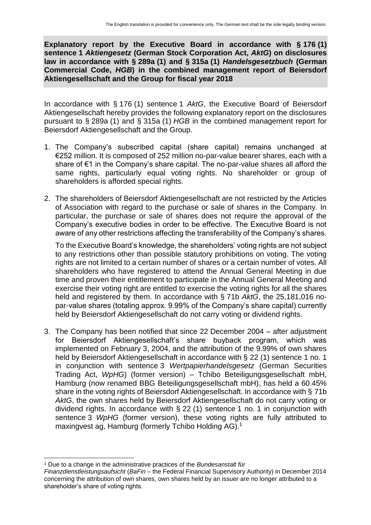**Explanatory report by the Executive Board in accordance with § 176 (1) sentence 1** *Aktiengesetz* **(German Stock Corporation Act,** *AktG***) on disclosures law in accordance with § 289a (1) and § 315a (1)** *Handelsgesetzbuch* **(German Commercial Code,** *HGB***) in the combined management report of Beiersdorf Aktiengesellschaft and the Group for fiscal year 2018**

In accordance with § 176 (1) sentence 1 *AktG*, the Executive Board of Beiersdorf Aktiengesellschaft hereby provides the following explanatory report on the disclosures pursuant to § 289a (1) and § 315a (1) *HGB* in the combined management report for Beiersdorf Aktiengesellschaft and the Group.

- 1. The Company's subscribed capital (share capital) remains unchanged at €252 million. It is composed of 252 million no-par-value bearer shares, each with a share of €1 in the Company's share capital. The no-par-value shares all afford the same rights, particularly equal voting rights. No shareholder or group of shareholders is afforded special rights.
- 2. The shareholders of Beiersdorf Aktiengesellschaft are not restricted by the Articles of Association with regard to the purchase or sale of shares in the Company. In particular, the purchase or sale of shares does not require the approval of the Company's executive bodies in order to be effective. The Executive Board is not aware of any other restrictions affecting the transferability of the Company's shares.

To the Executive Board's knowledge, the shareholders' voting rights are not subject to any restrictions other than possible statutory prohibitions on voting. The voting rights are not limited to a certain number of shares or a certain number of votes. All shareholders who have registered to attend the Annual General Meeting in due time and proven their entitlement to participate in the Annual General Meeting and exercise their voting right are entitled to exercise the voting rights for all the shares held and registered by them. In accordance with § 71b *AktG*, the 25,181,016 nopar-value shares (totaling approx. 9.99% of the Company's share capital) currently held by Beiersdorf Aktiengesellschaft do not carry voting or dividend rights.

3. The Company has been notified that since 22 December 2004 – after adjustment for Beiersdorf Aktiengesellschaft's share buyback program, which was implemented on February 3, 2004, and the attribution of the 9.99% of own shares held by Beiersdorf Aktiengesellschaft in accordance with § 22 (1) sentence 1 no. 1 in conjunction with sentence 3 *Wertpapierhandelsgesetz* (German Securities Trading Act, *WpHG*) (former version) – Tchibo Beteiligungsgesellschaft mbH, Hamburg (now renamed BBG Beteiligungsgesellschaft mbH), has held a 60.45% share in the voting rights of Beiersdorf Aktiengesellschaft. In accordance with § 71b *AktG*, the own shares held by Beiersdorf Aktiengesellschaft do not carry voting or dividend rights. In accordance with § 22 (1) sentence 1 no. 1 in conjunction with sentence 3 *WpHG* (former version), these voting rights are fully attributed to maxingvest ag, Hamburg (formerly Tchibo Holding AG). 1

 <sup>1</sup> Due to a change in the administrative practices of the *Bundesanstalt für* 

*Finanzdienstleistungsaufsicht* (*BaFin* – the Federal Financial Supervisory Authority) in December 2014 concerning the attribution of own shares, own shares held by an issuer are no longer attributed to a shareholder's share of voting rights.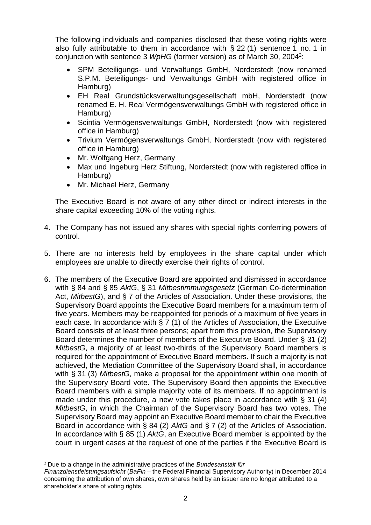The following individuals and companies disclosed that these voting rights were also fully attributable to them in accordance with § 22 (1) sentence 1 no. 1 in conjunction with sentence 3 *WpHG* (former version) as of March 30, 2004<sup>2</sup>:

- SPM Beteiligungs- und Verwaltungs GmbH, Norderstedt (now renamed S.P.M. Beteiligungs- und Verwaltungs GmbH with registered office in Hamburg)
- EH Real Grundstücksverwaltungsgesellschaft mbH, Norderstedt (now renamed E. H. Real Vermögensverwaltungs GmbH with registered office in Hamburg)
- Scintia Vermögensverwaltungs GmbH, Norderstedt (now with registered office in Hamburg)
- Trivium Vermögensverwaltungs GmbH, Norderstedt (now with registered office in Hamburg)
- Mr. Wolfgang Herz, Germany
- Max und Ingeburg Herz Stiftung, Norderstedt (now with registered office in Hamburg)
- Mr. Michael Herz, Germany

The Executive Board is not aware of any other direct or indirect interests in the share capital exceeding 10% of the voting rights.

- 4. The Company has not issued any shares with special rights conferring powers of control.
- 5. There are no interests held by employees in the share capital under which employees are unable to directly exercise their rights of control.
- 6. The members of the Executive Board are appointed and dismissed in accordance with § 84 and § 85 *AktG*, § 31 *Mitbestimmungsgesetz* (German Co-determination Act, *MitbestG*), and § 7 of the Articles of Association. Under these provisions, the Supervisory Board appoints the Executive Board members for a maximum term of five years. Members may be reappointed for periods of a maximum of five years in each case. In accordance with § 7 (1) of the Articles of Association, the Executive Board consists of at least three persons; apart from this provision, the Supervisory Board determines the number of members of the Executive Board. Under § 31 (2) *MitbestG*, a majority of at least two-thirds of the Supervisory Board members is required for the appointment of Executive Board members. If such a majority is not achieved, the Mediation Committee of the Supervisory Board shall, in accordance with § 31 (3) *MitbestG*, make a proposal for the appointment within one month of the Supervisory Board vote. The Supervisory Board then appoints the Executive Board members with a simple majority vote of its members. If no appointment is made under this procedure, a new vote takes place in accordance with § 31 (4) *MitbestG*, in which the Chairman of the Supervisory Board has two votes. The Supervisory Board may appoint an Executive Board member to chair the Executive Board in accordance with § 84 (2) *AktG* and § 7 (2) of the Articles of Association. In accordance with § 85 (1) *AktG*, an Executive Board member is appointed by the court in urgent cases at the request of one of the parties if the Executive Board is

 $\overline{a}$ <sup>2</sup> Due to a change in the administrative practices of the *Bundesanstalt für* 

*Finanzdienstleistungsaufsicht* (*BaFin* – the Federal Financial Supervisory Authority) in December 2014 concerning the attribution of own shares, own shares held by an issuer are no longer attributed to a shareholder's share of voting rights.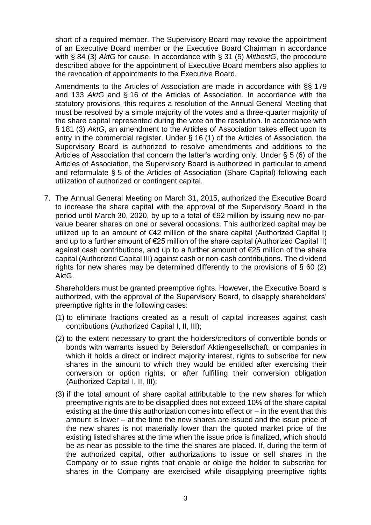short of a required member. The Supervisory Board may revoke the appointment of an Executive Board member or the Executive Board Chairman in accordance with § 84 (3) *AktG* for cause. In accordance with § 31 (5) *MitbestG*, the procedure described above for the appointment of Executive Board members also applies to the revocation of appointments to the Executive Board.

Amendments to the Articles of Association are made in accordance with §§ 179 and 133 *AktG* and § 16 of the Articles of Association. In accordance with the statutory provisions, this requires a resolution of the Annual General Meeting that must be resolved by a simple majority of the votes and a three-quarter majority of the share capital represented during the vote on the resolution. In accordance with § 181 (3) *AktG*, an amendment to the Articles of Association takes effect upon its entry in the commercial register. Under § 16 (1) of the Articles of Association, the Supervisory Board is authorized to resolve amendments and additions to the Articles of Association that concern the latter's wording only. Under § 5 (6) of the Articles of Association, the Supervisory Board is authorized in particular to amend and reformulate § 5 of the Articles of Association (Share Capital) following each utilization of authorized or contingent capital.

7. The Annual General Meeting on March 31, 2015, authorized the Executive Board to increase the share capital with the approval of the Supervisory Board in the period until March 30, 2020, by up to a total of €92 million by issuing new no-parvalue bearer shares on one or several occasions. This authorized capital may be utilized up to an amount of  $\epsilon$ 42 million of the share capital (Authorized Capital I) and up to a further amount of €25 million of the share capital (Authorized Capital II) against cash contributions, and up to a further amount of €25 million of the share capital (Authorized Capital III) against cash or non-cash contributions. The dividend rights for new shares may be determined differently to the provisions of § 60 (2) AktG.

Shareholders must be granted preemptive rights. However, the Executive Board is authorized, with the approval of the Supervisory Board, to disapply shareholders' preemptive rights in the following cases:

- (1) to eliminate fractions created as a result of capital increases against cash contributions (Authorized Capital I, II, III);
- (2) to the extent necessary to grant the holders/creditors of convertible bonds or bonds with warrants issued by Beiersdorf Aktiengesellschaft, or companies in which it holds a direct or indirect majority interest, rights to subscribe for new shares in the amount to which they would be entitled after exercising their conversion or option rights, or after fulfilling their conversion obligation (Authorized Capital I, II, III);
- (3) if the total amount of share capital attributable to the new shares for which preemptive rights are to be disapplied does not exceed 10% of the share capital existing at the time this authorization comes into effect or  $-$  in the event that this amount is lower – at the time the new shares are issued and the issue price of the new shares is not materially lower than the quoted market price of the existing listed shares at the time when the issue price is finalized, which should be as near as possible to the time the shares are placed. If, during the term of the authorized capital, other authorizations to issue or sell shares in the Company or to issue rights that enable or oblige the holder to subscribe for shares in the Company are exercised while disapplying preemptive rights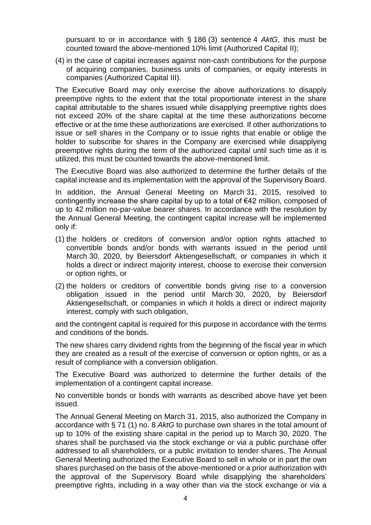pursuant to or in accordance with § 186 (3) sentence 4 *AktG*, this must be counted toward the above-mentioned 10% limit (Authorized Capital II);

(4) in the case of capital increases against non-cash contributions for the purpose of acquiring companies, business units of companies, or equity interests in companies (Authorized Capital III).

The Executive Board may only exercise the above authorizations to disapply preemptive rights to the extent that the total proportionate interest in the share capital attributable to the shares issued while disapplying preemptive rights does not exceed 20% of the share capital at the time these authorizations become effective or at the time these authorizations are exercised. If other authorizations to issue or sell shares in the Company or to issue rights that enable or oblige the holder to subscribe for shares in the Company are exercised while disapplying preemptive rights during the term of the authorized capital until such time as it is utilized, this must be counted towards the above-mentioned limit.

The Executive Board was also authorized to determine the further details of the capital increase and its implementation with the approval of the Supervisory Board.

In addition, the Annual General Meeting on March 31, 2015, resolved to contingently increase the share capital by up to a total of €42 million, composed of up to 42 million no-par-value bearer shares. In accordance with the resolution by the Annual General Meeting, the contingent capital increase will be implemented only if:

- (1) the holders or creditors of conversion and/or option rights attached to convertible bonds and/or bonds with warrants issued in the period until March 30, 2020, by Beiersdorf Aktiengesellschaft, or companies in which it holds a direct or indirect majority interest, choose to exercise their conversion or option rights, or
- (2) the holders or creditors of convertible bonds giving rise to a conversion obligation issued in the period until March 30, 2020, by Beiersdorf Aktiengesellschaft, or companies in which it holds a direct or indirect majority interest, comply with such obligation,

and the contingent capital is required for this purpose in accordance with the terms and conditions of the bonds.

The new shares carry dividend rights from the beginning of the fiscal year in which they are created as a result of the exercise of conversion or option rights, or as a result of compliance with a conversion obligation.

The Executive Board was authorized to determine the further details of the implementation of a contingent capital increase.

No convertible bonds or bonds with warrants as described above have yet been issued.

The Annual General Meeting on March 31, 2015, also authorized the Company in accordance with § 71 (1) no. 8 *AktG* to purchase own shares in the total amount of up to 10% of the existing share capital in the period up to March 30, 2020. The shares shall be purchased via the stock exchange or via a public purchase offer addressed to all shareholders, or a public invitation to tender shares. The Annual General Meeting authorized the Executive Board to sell in whole or in part the own shares purchased on the basis of the above-mentioned or a prior authorization with the approval of the Supervisory Board while disapplying the shareholders' preemptive rights, including in a way other than via the stock exchange or via a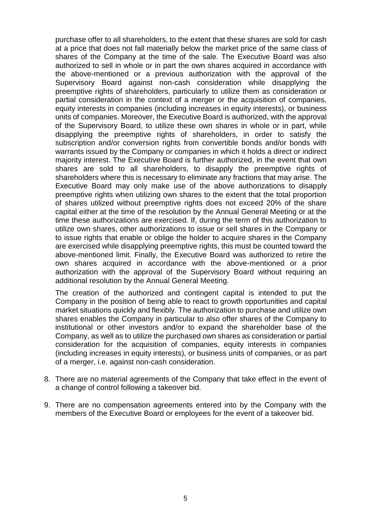purchase offer to all shareholders, to the extent that these shares are sold for cash at a price that does not fall materially below the market price of the same class of shares of the Company at the time of the sale. The Executive Board was also authorized to sell in whole or in part the own shares acquired in accordance with the above-mentioned or a previous authorization with the approval of the Supervisory Board against non-cash consideration while disapplying the preemptive rights of shareholders, particularly to utilize them as consideration or partial consideration in the context of a merger or the acquisition of companies, equity interests in companies (including increases in equity interests), or business units of companies. Moreover, the Executive Board is authorized, with the approval of the Supervisory Board, to utilize these own shares in whole or in part, while disapplying the preemptive rights of shareholders, in order to satisfy the subscription and/or conversion rights from convertible bonds and/or bonds with warrants issued by the Company or companies in which it holds a direct or indirect majority interest. The Executive Board is further authorized, in the event that own shares are sold to all shareholders, to disapply the preemptive rights of shareholders where this is necessary to eliminate any fractions that may arise. The Executive Board may only make use of the above authorizations to disapply preemptive rights when utilizing own shares to the extent that the total proportion of shares utilized without preemptive rights does not exceed 20% of the share capital either at the time of the resolution by the Annual General Meeting or at the time these authorizations are exercised. If, during the term of this authorization to utilize own shares, other authorizations to issue or sell shares in the Company or to issue rights that enable or oblige the holder to acquire shares in the Company are exercised while disapplying preemptive rights, this must be counted toward the above-mentioned limit. Finally, the Executive Board was authorized to retire the own shares acquired in accordance with the above-mentioned or a prior authorization with the approval of the Supervisory Board without requiring an additional resolution by the Annual General Meeting.

The creation of the authorized and contingent capital is intended to put the Company in the position of being able to react to growth opportunities and capital market situations quickly and flexibly. The authorization to purchase and utilize own shares enables the Company in particular to also offer shares of the Company to institutional or other investors and/or to expand the shareholder base of the Company, as well as to utilize the purchased own shares as consideration or partial consideration for the acquisition of companies, equity interests in companies (including increases in equity interests), or business units of companies, or as part of a merger, i.e. against non-cash consideration.

- 8. There are no material agreements of the Company that take effect in the event of a change of control following a takeover bid.
- 9. There are no compensation agreements entered into by the Company with the members of the Executive Board or employees for the event of a takeover bid.